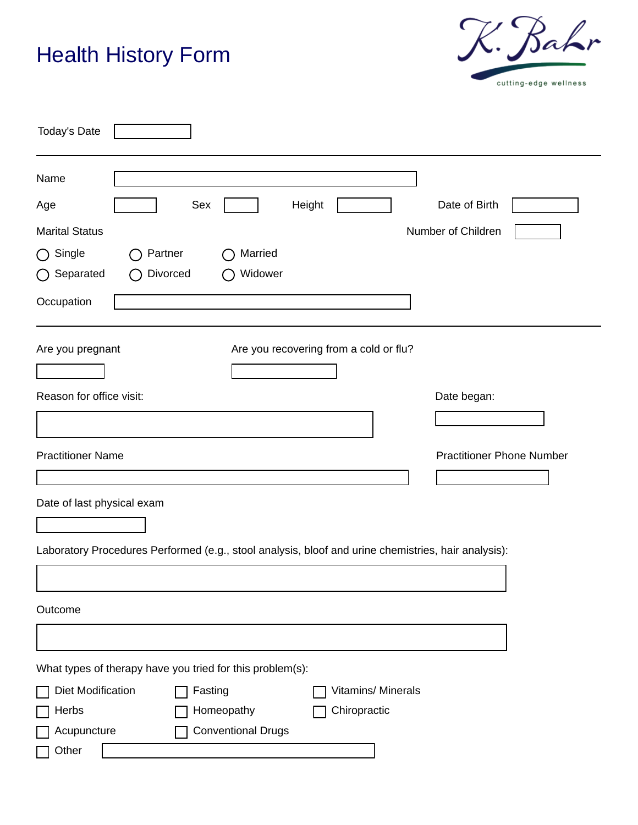# Health History Form



| <b>Today's Date</b>                                                                                 |                           |                                        |                                  |  |  |
|-----------------------------------------------------------------------------------------------------|---------------------------|----------------------------------------|----------------------------------|--|--|
| Name                                                                                                |                           |                                        |                                  |  |  |
| Age                                                                                                 | Sex                       | Height                                 | Date of Birth                    |  |  |
| <b>Marital Status</b>                                                                               |                           |                                        | Number of Children               |  |  |
| $\bigcap$ Single<br>Partner                                                                         | Married                   |                                        |                                  |  |  |
| Divorced<br>Separated                                                                               | Widower                   |                                        |                                  |  |  |
| Occupation                                                                                          |                           |                                        |                                  |  |  |
| Are you pregnant                                                                                    |                           | Are you recovering from a cold or flu? |                                  |  |  |
| Reason for office visit:                                                                            | Date began:               |                                        |                                  |  |  |
|                                                                                                     |                           |                                        |                                  |  |  |
| <b>Practitioner Name</b>                                                                            |                           |                                        | <b>Practitioner Phone Number</b> |  |  |
| Date of last physical exam                                                                          |                           |                                        |                                  |  |  |
| Laboratory Procedures Performed (e.g., stool analysis, bloof and urine chemistries, hair analysis): |                           |                                        |                                  |  |  |
|                                                                                                     |                           |                                        |                                  |  |  |
| Outcome                                                                                             |                           |                                        |                                  |  |  |
|                                                                                                     |                           |                                        |                                  |  |  |
| What types of therapy have you tried for this problem(s):                                           |                           |                                        |                                  |  |  |
| Diet Modification                                                                                   | Fasting                   | Vitamins/ Minerals                     |                                  |  |  |
| Herbs                                                                                               | Homeopathy                | Chiropractic                           |                                  |  |  |
| Acupuncture                                                                                         | <b>Conventional Drugs</b> |                                        |                                  |  |  |
| Other                                                                                               |                           |                                        |                                  |  |  |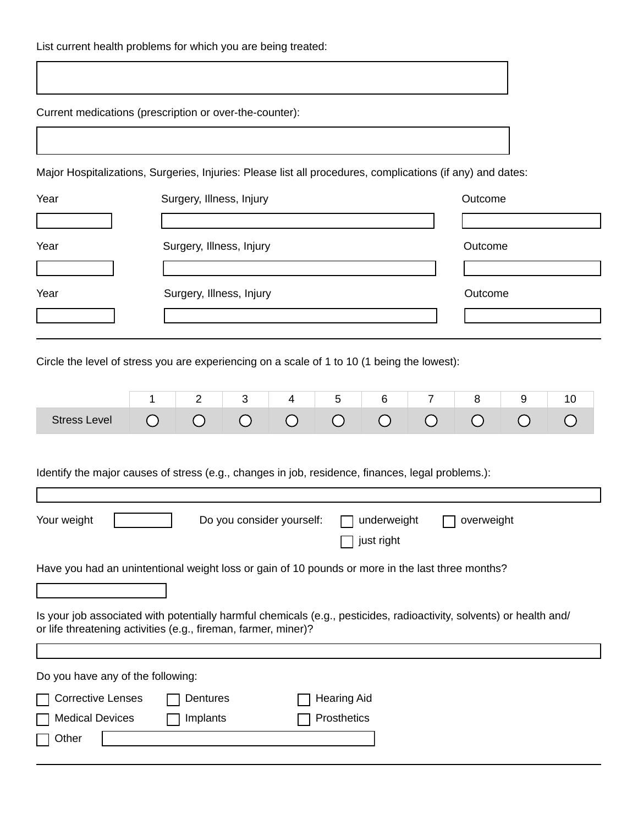|  |  |  | List current health problems for which you are being treated: |
|--|--|--|---------------------------------------------------------------|
|--|--|--|---------------------------------------------------------------|

Current medications (prescription or over-the-counter):

Major Hospitalizations, Surgeries, Injuries: Please list all procedures, complications (if any) and dates:

| Year | Surgery, Illness, Injury | Outcome |
|------|--------------------------|---------|
|      |                          |         |
| Year | Surgery, Illness, Injury | Outcome |
|      |                          |         |
| Year | Surgery, Illness, Injury | Outcome |
|      |                          |         |

Circle the level of stress you are experiencing on a scale of 1 to 10 (1 being the lowest):

|                                                                                                                      |  | 2        | 3 | 4                         | 5                  | 6           | 7                                             | 8          | 9 | 10 |
|----------------------------------------------------------------------------------------------------------------------|--|----------|---|---------------------------|--------------------|-------------|-----------------------------------------------|------------|---|----|
| <b>Stress Level</b>                                                                                                  |  |          |   |                           | Ω                  | ◯           | $\left( \begin{array}{c} \end{array} \right)$ | ( )        |   |    |
|                                                                                                                      |  |          |   |                           |                    |             |                                               |            |   |    |
|                                                                                                                      |  |          |   |                           |                    |             |                                               |            |   |    |
| Identify the major causes of stress (e.g., changes in job, residence, finances, legal problems.):                    |  |          |   |                           |                    |             |                                               |            |   |    |
|                                                                                                                      |  |          |   |                           |                    |             |                                               |            |   |    |
| Your weight                                                                                                          |  |          |   | Do you consider yourself: |                    | underweight |                                               | overweight |   |    |
|                                                                                                                      |  |          |   |                           |                    | just right  |                                               |            |   |    |
|                                                                                                                      |  |          |   |                           |                    |             |                                               |            |   |    |
| Have you had an unintentional weight loss or gain of 10 pounds or more in the last three months?                     |  |          |   |                           |                    |             |                                               |            |   |    |
|                                                                                                                      |  |          |   |                           |                    |             |                                               |            |   |    |
| Is your job associated with potentially harmful chemicals (e.g., pesticides, radioactivity, solvents) or health and/ |  |          |   |                           |                    |             |                                               |            |   |    |
| or life threatening activities (e.g., fireman, farmer, miner)?                                                       |  |          |   |                           |                    |             |                                               |            |   |    |
|                                                                                                                      |  |          |   |                           |                    |             |                                               |            |   |    |
|                                                                                                                      |  |          |   |                           |                    |             |                                               |            |   |    |
| Do you have any of the following:                                                                                    |  |          |   |                           |                    |             |                                               |            |   |    |
| <b>Corrective Lenses</b>                                                                                             |  | Dentures |   |                           | <b>Hearing Aid</b> |             |                                               |            |   |    |
| <b>Medical Devices</b><br>Prosthetics<br>Implants                                                                    |  |          |   |                           |                    |             |                                               |            |   |    |
| Other                                                                                                                |  |          |   |                           |                    |             |                                               |            |   |    |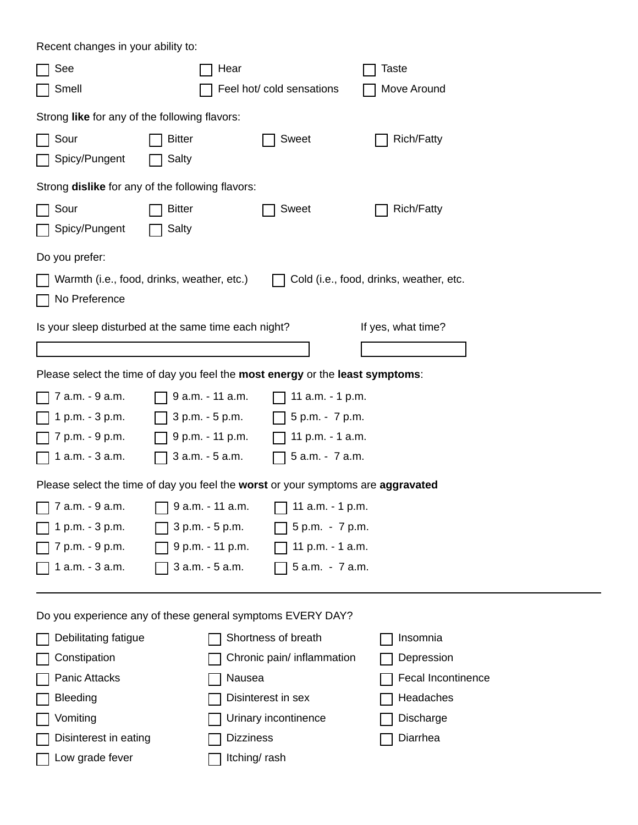Recent changes in your ability to: See  $\Box$  Hear  $\Box$  Taste  $\Box$  Feel hot/ cold sensations  $\Box$  Move Around Strong **like** for any of the following flavors: Sour Bitter Sweet Rich/Fatty Spicy/Pungent □ Salty Strong **dislike** for any of the following flavors:  $\Box$  Sour  $\Box$  Bitter  $\Box$  Sweet  $\Box$  Rich/Fatty Spicy/Pungent | Salty Do you prefer: Warmth (i.e., food, drinks, weather, etc.)  $\Box$  Cold (i.e., food, drinks, weather, etc. No Preference Is your sleep disturbed at the same time each night? If yes, what time? Please select the time of day you feel the **most energy** or the **least symptoms**:  $\Box$  7 a.m. - 9 a.m.  $\Box$  9 a.m. - 11 a.m.  $\Box$  11 a.m. - 1 p.m.  $71$  p.m. - 3 p.m.  $\Box$  3 p.m. - 5 p.m.  $\Box$  5 p.m. - 7 p.m. 7 p.m. - 9 p.m.  $\Box$  9 p.m. - 11 p.m.  $\Box$  11 p.m. - 1 a.m. 1 a.m. -  $3$  a.m.  $\Box$  3 a.m. -  $5$  a.m.  $\Box$  5 a.m. - 7 a.m. Please select the time of day you feel the **worst** or your symptoms are **aggravated**  $77$  a.m. -  $9$  a.m.  $\Box$  9 a.m. - 11 a.m.  $\Box$  11 a.m. - 1 p.m.  $\Box$  1 p.m. - 3 p.m.  $\Box$  3 p.m. - 5 p.m.  $\Box$  5 p.m. - 7 p.m. 7 p.m. - 9 p.m.  $\Box$  9 p.m. - 11 p.m.  $\Box$  11 p.m. - 1 a.m. 1 a.m. - 3 a.m.  $\Box$  3 a.m. - 5 a.m.  $\Box$  5 a.m. - 7 a.m. Do you experience any of these general symptoms EVERY DAY? Debilitating fatigue  $\Box$  Shortness of breath  $\Box$  Insomnia Constipation □ □ □ Chronic pain/ inflammation □ Depression Panic Attacks  $\Box$  Nausea  $\Box$  Fecal Incontinence Bleeding Disinterest in sex **Headaches** Vomiting **Discharge Community** Urinary incontinence **Discharge** 

Disinterest in eating **Diarrhea** Diarrhea

Low grade fever  $\Box$  Itching/ rash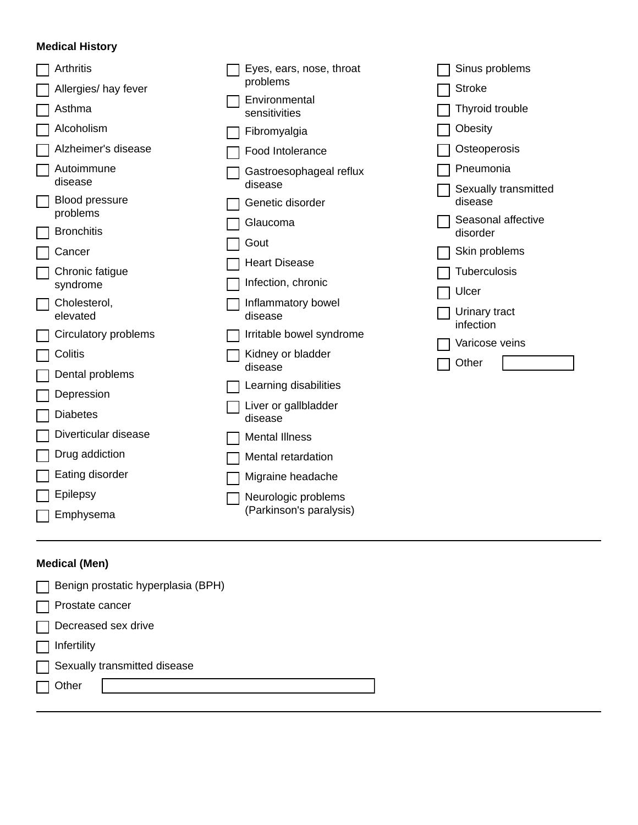### **Medical History**

| Arthritis                     | Eyes, ears, nose, throat           | Sinus problems                  |
|-------------------------------|------------------------------------|---------------------------------|
| Allergies/ hay fever          | problems                           | <b>Stroke</b>                   |
| Asthma                        | Environmental<br>sensitivities     | Thyroid trouble                 |
| Alcoholism                    | Fibromyalgia                       | Obesity                         |
| Alzheimer's disease           | Food Intolerance                   | Osteoperosis                    |
| Autoimmune<br>disease         | Gastroesophageal reflux<br>disease | Pneumonia                       |
| <b>Blood pressure</b>         | Genetic disorder                   | Sexually transmitted<br>disease |
| problems<br><b>Bronchitis</b> | Glaucoma                           | Seasonal affective<br>disorder  |
| Cancer                        | Gout                               | Skin problems                   |
| Chronic fatigue               | <b>Heart Disease</b>               | <b>Tuberculosis</b><br>Ulcer    |
| syndrome                      | Infection, chronic                 |                                 |
| Cholesterol,<br>elevated      | Inflammatory bowel<br>disease      | Urinary tract                   |
| Circulatory problems          | Irritable bowel syndrome           | infection<br>Varicose veins     |
| Colitis                       | Kidney or bladder                  | Other                           |
| Dental problems               | disease                            |                                 |
| Depression                    | Learning disabilities              |                                 |
| <b>Diabetes</b>               | Liver or gallbladder<br>disease    |                                 |
| Diverticular disease          | <b>Mental Illness</b>              |                                 |
| Drug addiction                | Mental retardation                 |                                 |
| Eating disorder               | Migraine headache                  |                                 |
| Epilepsy                      | Neurologic problems                |                                 |
| Emphysema                     | (Parkinson's paralysis)            |                                 |

## **Medical (Men)**

| Benign prostatic hyperplasia (BPH) |
|------------------------------------|
| Prostate cancer                    |
| Decreased sex drive                |
| Infertility                        |
| Sexually transmitted disease       |
| Other                              |
|                                    |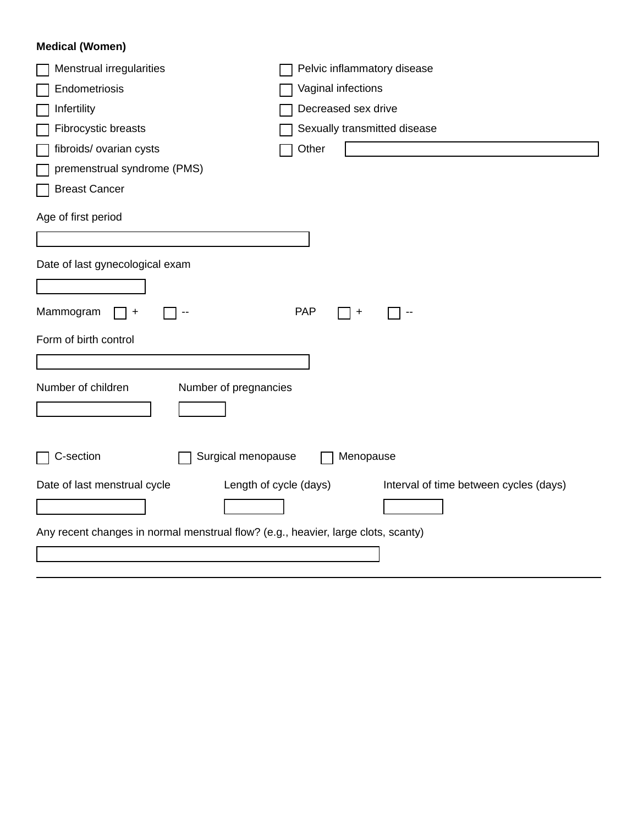## **Medical (Women)**

| Menstrual irregularities                                                          | Pelvic inflammatory disease                                      |
|-----------------------------------------------------------------------------------|------------------------------------------------------------------|
| Endometriosis                                                                     | Vaginal infections                                               |
| Infertility                                                                       | Decreased sex drive                                              |
| Fibrocystic breasts                                                               | Sexually transmitted disease                                     |
| fibroids/ ovarian cysts                                                           | Other                                                            |
| premenstrual syndrome (PMS)                                                       |                                                                  |
| <b>Breast Cancer</b>                                                              |                                                                  |
| Age of first period                                                               |                                                                  |
|                                                                                   |                                                                  |
| Date of last gynecological exam                                                   |                                                                  |
|                                                                                   |                                                                  |
| Mammogram<br>+                                                                    | <b>PAP</b>                                                       |
| Form of birth control                                                             |                                                                  |
|                                                                                   |                                                                  |
| Number of children<br>Number of pregnancies                                       |                                                                  |
|                                                                                   |                                                                  |
|                                                                                   |                                                                  |
| C-section<br>Surgical menopause                                                   | Menopause                                                        |
| Date of last menstrual cycle                                                      | Length of cycle (days)<br>Interval of time between cycles (days) |
|                                                                                   |                                                                  |
| Any recent changes in normal menstrual flow? (e.g., heavier, large clots, scanty) |                                                                  |
|                                                                                   |                                                                  |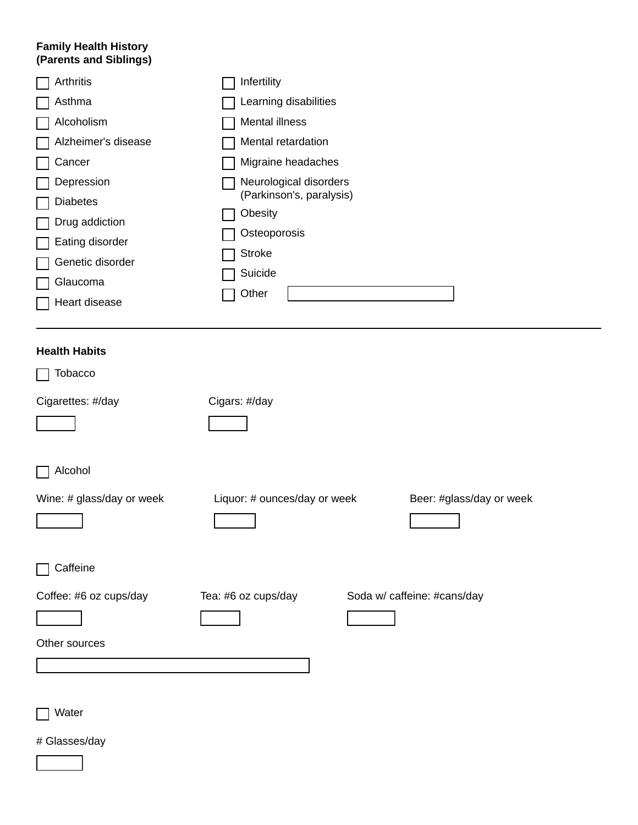### **Family Health History (Parents and Siblings)**

| Arthritis                 | Infertility                                              |
|---------------------------|----------------------------------------------------------|
| Asthma                    | Learning disabilities                                    |
| Alcoholism                | Mental illness                                           |
| Alzheimer's disease       | Mental retardation                                       |
| Cancer                    | Migraine headaches                                       |
| Depression                | Neurological disorders                                   |
| <b>Diabetes</b>           | (Parkinson's, paralysis)                                 |
| Drug addiction            | Obesity                                                  |
| Eating disorder           | Osteoporosis                                             |
| Genetic disorder          | <b>Stroke</b>                                            |
| Glaucoma                  | Suicide                                                  |
| Heart disease             | Other                                                    |
|                           |                                                          |
| <b>Health Habits</b>      |                                                          |
| Tobacco                   |                                                          |
| Cigarettes: #/day         | Cigars: #/day                                            |
|                           |                                                          |
|                           |                                                          |
| Alcohol                   |                                                          |
| Wine: # glass/day or week | Liquor: # ounces/day or week<br>Beer: #glass/day or week |
|                           |                                                          |
|                           |                                                          |
| Caffeine                  |                                                          |
| Coffee: #6 oz cups/day    | Tea: #6 oz cups/day<br>Soda w/ caffeine: #cans/day       |
|                           |                                                          |
| Other sources             |                                                          |
|                           |                                                          |
|                           |                                                          |
| Water                     |                                                          |
| # Glasses/day             |                                                          |
|                           |                                                          |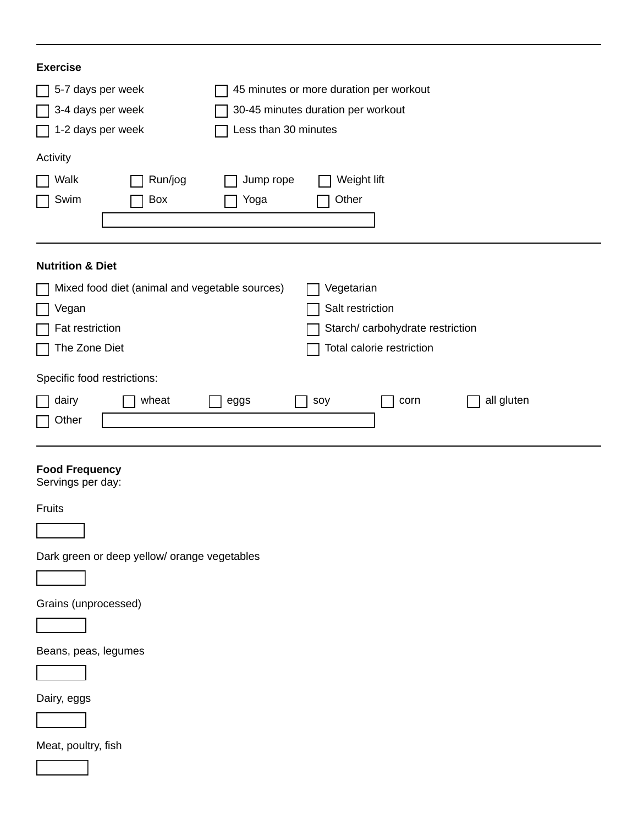| <b>Exercise</b>                                |                                           |
|------------------------------------------------|-------------------------------------------|
| 5-7 days per week                              | 45 minutes or more duration per workout   |
| 3-4 days per week                              | 30-45 minutes duration per workout        |
| 1-2 days per week                              | Less than 30 minutes                      |
| Activity                                       |                                           |
| Walk<br>Run/jog<br>Swim<br>Box                 | Weight lift<br>Jump rope<br>Other<br>Yoga |
| <b>Nutrition &amp; Diet</b>                    |                                           |
| Mixed food diet (animal and vegetable sources) | Vegetarian                                |
| Vegan                                          | Salt restriction                          |
| Fat restriction                                | Starch/carbohydrate restriction           |
| The Zone Diet                                  | Total calorie restriction                 |
| Specific food restrictions:                    |                                           |
| wheat<br>dairy<br>Other                        | all gluten<br>corn<br>eggs<br>soy         |
| <b>Food Frequency</b><br>Servings per day:     |                                           |
| Fruits                                         |                                           |
|                                                |                                           |

Dark green or deep yellow/ orange vegetables

Grains (unprocessed)

Beans, peas, legumes

Dairy, eggs

Meat, poultry, fish